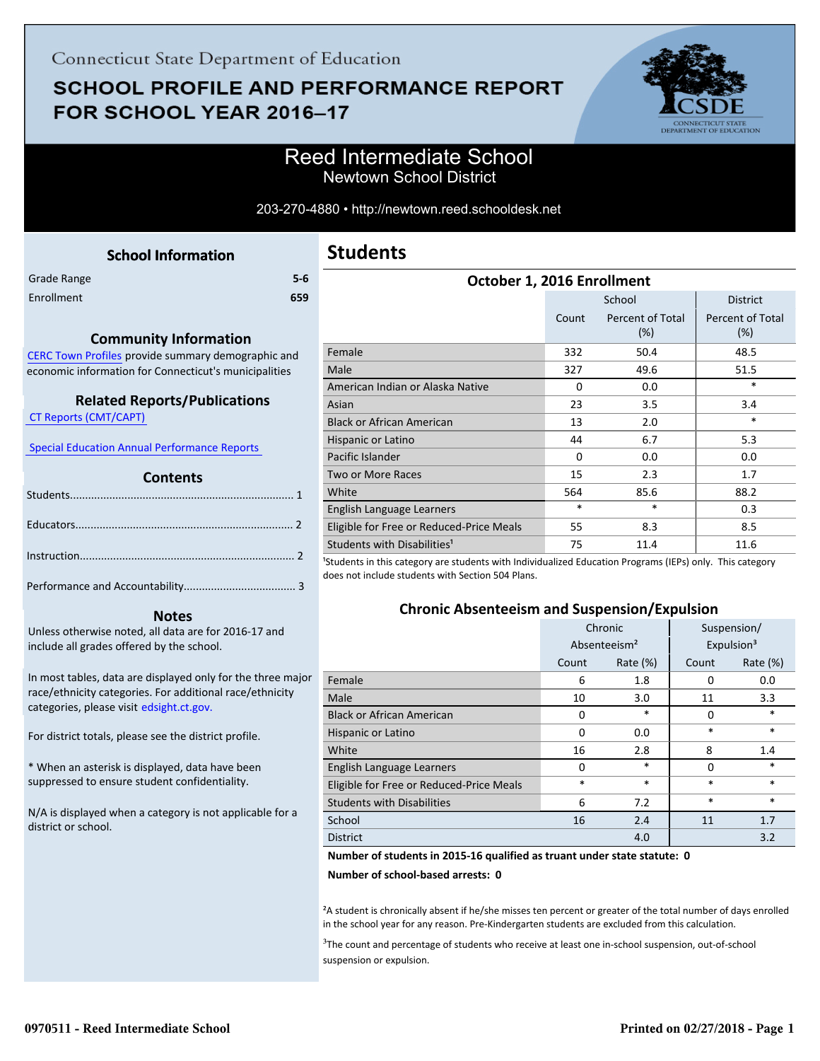# **SCHOOL PROFILE AND PERFORMANCE REPORT** FOR SCHOOL YEAR 2016-17



### Reed Intermediate School Newtown School District

#### 203-270-4880 • http://newtown.reed.schooldesk.net

<span id="page-0-0"></span>

| Grade Range | $5-6$ |
|-------------|-------|
| Enrollment  | 659   |

#### **Community Information**

[CERC Town Profiles provide summary demographic and](http://www.cerc.com/townprofiles/) economic information for Connecticut's municipalities

#### **Related Reports/Publications**

 [CT Reports \(CMT/CAPT\)](http://ctreports.com/) 

 [Special Education Annual Performance Reports](http://edsight.ct.gov/SASPortal/main.do) 

#### **Contents**

#### **Notes**

Unless otherwise noted, all data are for 2016-17 and include all grades offered by the school.

[In most tables, data are displayed only for the three major](http://edsight.ct.gov/) race/ethnicity categories. For additional race/ethnicity categories, please visit edsight.ct.gov.

For district totals, please see the district profile.

\* When an asterisk is displayed, data have been suppressed to ensure student confidentiality.

N/A is displayed when a category is not applicable for a district or school.

| <b>Students</b> |  |
|-----------------|--|
|-----------------|--|

| October 1, 2016 Enrollment               |          |                            |                                |
|------------------------------------------|----------|----------------------------|--------------------------------|
|                                          |          | School                     | <b>District</b>                |
|                                          | Count    | Percent of Total<br>$(\%)$ | <b>Percent of Total</b><br>(%) |
| Female                                   | 332      | 50.4                       | 48.5                           |
| Male                                     | 327      | 49.6                       | 51.5                           |
| American Indian or Alaska Native         | $\Omega$ | 0.0                        | *                              |
| Asian                                    | 23       | 3.5                        | 3.4                            |
| <b>Black or African American</b>         | 13       | 2.0                        | $\ast$                         |
| Hispanic or Latino                       | 44       | 6.7                        | 5.3                            |
| Pacific Islander                         | $\Omega$ | 0.0                        | 0.0                            |
| <b>Two or More Races</b>                 | 15       | 2.3                        | 1.7                            |
| White                                    | 564      | 85.6                       | 88.2                           |
| English Language Learners                | $\ast$   | $\ast$                     | 0.3                            |
| Eligible for Free or Reduced-Price Meals | 55       | 8.3                        | 8.5                            |
| Students with Disabilities <sup>1</sup>  | 75       | 11.4                       | 11.6<br>$\lambda$              |

<sup>1</sup>Students in this category are students with Individualized Education Programs (IEPs) only. This category does not include students with Section 504 Plans.

#### **Chronic Absenteeism and Suspension/Expulsion**

|                                          | Chronic                  |          | Suspension/            |             |
|------------------------------------------|--------------------------|----------|------------------------|-------------|
|                                          | Absenteeism <sup>2</sup> |          | Expulsion <sup>3</sup> |             |
|                                          | Count                    | Rate (%) | Count                  | Rate $(\%)$ |
| Female                                   | 6                        | 1.8      | 0                      | 0.0         |
| Male                                     | 10                       | 3.0      | 11                     | 3.3         |
| <b>Black or African American</b>         | $\Omega$                 | $\ast$   | 0                      | $\ast$      |
| Hispanic or Latino                       | $\Omega$                 | 0.0      | $\ast$                 | $\ast$      |
| White                                    | 16                       | 2.8      | 8                      | 1.4         |
| English Language Learners                | $\Omega$                 | $\ast$   | 0                      | *           |
| Eligible for Free or Reduced-Price Meals | $\ast$                   | $\ast$   | $\ast$                 | $\ast$      |
| <b>Students with Disabilities</b>        | 6                        | 7.2      | $\ast$                 | $\ast$      |
| School                                   | 16                       | 2.4      | 11                     | 1.7         |
| <b>District</b>                          |                          | 4.0      |                        | 3.2         |

#### **Number of students in 2015-16 qualified as truant under state statute: 0**

**Number of school-based arrests: 0**

²A student is chronically absent if he/she misses ten percent or greater of the total number of days enrolled in the school year for any reason. Pre-Kindergarten students are excluded from this calculation.

<sup>3</sup>The count and percentage of students who receive at least one in-school suspension, out-of-school suspension or expulsion.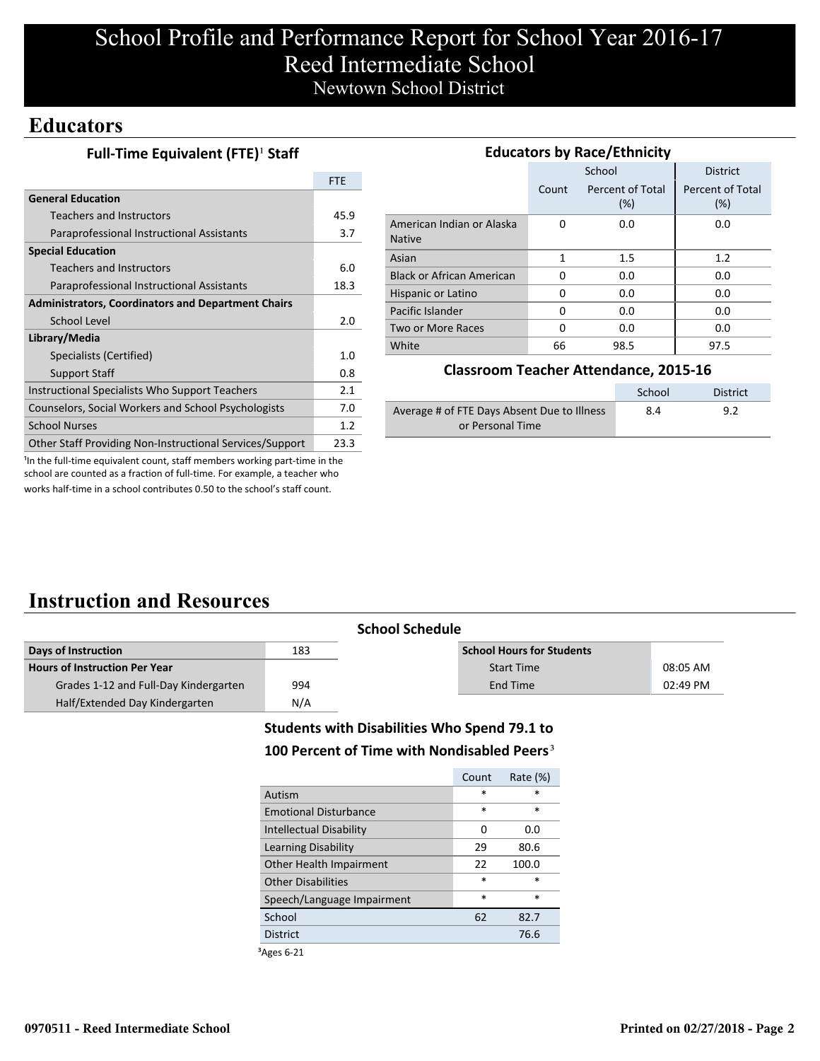## School Profile and Performance Report for School Year 2016-17 Reed Intermediate School Newtown School District

### **Educators**

| Full-Time Equivalent (FTE) <sup>1</sup> Staff |  |
|-----------------------------------------------|--|
|-----------------------------------------------|--|

|                                                                 | <b>FTE</b> |
|-----------------------------------------------------------------|------------|
| <b>General Education</b>                                        |            |
| Teachers and Instructors                                        | 45.9       |
| Paraprofessional Instructional Assistants                       | 3.7        |
| <b>Special Education</b>                                        |            |
| <b>Teachers and Instructors</b>                                 | 6.0        |
| Paraprofessional Instructional Assistants                       | 18.3       |
| <b>Administrators, Coordinators and Department Chairs</b>       |            |
| School Level                                                    | 2.0        |
| Library/Media                                                   |            |
| Specialists (Certified)                                         | 1.0        |
| <b>Support Staff</b>                                            | 0.8        |
| Instructional Specialists Who Support Teachers                  | 2.1        |
| Counselors, Social Workers and School Psychologists             | 7.0        |
| <b>School Nurses</b>                                            | 1.2        |
| <b>Other Staff Providing Non-Instructional Services/Support</b> | 23.3       |

| <b>Educators by Race/Ethnicity</b>         |       |                         |                         |  |
|--------------------------------------------|-------|-------------------------|-------------------------|--|
|                                            |       | School                  | <b>District</b>         |  |
|                                            | Count | Percent of Total<br>(%) | Percent of Total<br>(%) |  |
| American Indian or Alaska<br><b>Native</b> | O     | 0.0                     | 0.0                     |  |
| Asian                                      | 1     | $1.5\,$                 | 1.2                     |  |
| <b>Black or African American</b>           | 0     | 0.0                     | 0.0                     |  |
| Hispanic or Latino                         | 0     | 0.0                     | 0.0                     |  |
| Pacific Islander                           | 0     | 0.0                     | 0.0                     |  |
| Two or More Races                          | 0     | 0.0                     | 0.0                     |  |
| White                                      | 66    | 98.5                    | 97.5                    |  |

#### **Classroom Teacher Attendance, 2015-16**

|                                             | School | <b>District</b> |
|---------------------------------------------|--------|-----------------|
| Average # of FTE Days Absent Due to Illness | 8.4    | 9.2             |
| or Personal Time                            |        |                 |

<sup>1</sup>In the full-time equivalent count, staff members working part-time in the school are counted as a fraction of full-time. For example, a teacher who works half-time in a school contributes 0.50 to the school's staff count.

## **Instruction and Resources**

| <b>School Schedule</b>                |     |                                  |          |
|---------------------------------------|-----|----------------------------------|----------|
| Days of Instruction                   | 183 | <b>School Hours for Students</b> |          |
| <b>Hours of Instruction Per Year</b>  |     | <b>Start Time</b>                | 08:05 AM |
| Grades 1-12 and Full-Day Kindergarten | 994 | End Time                         | 02:49 PM |
| Half/Extended Day Kindergarten        | N/A |                                  |          |

### **Students with Disabilities Who Spend 79.1 to** 100 Percent of Time with Nondisabled Peers<sup>3</sup>

|                              | Count  | Rate (%) |
|------------------------------|--------|----------|
| Autism                       | $\ast$ | *        |
| <b>Emotional Disturbance</b> | $\ast$ | $\ast$   |
| Intellectual Disability      | 0      | 0.0      |
| Learning Disability          | 29     | 80.6     |
| Other Health Impairment      | 22     | 100.0    |
| <b>Other Disabilities</b>    | $\ast$ | $\ast$   |
| Speech/Language Impairment   | $\ast$ | $\ast$   |
| School                       | 62     | 82.7     |
| <b>District</b>              |        | 76.6     |
|                              |        |          |

³Ages 6-21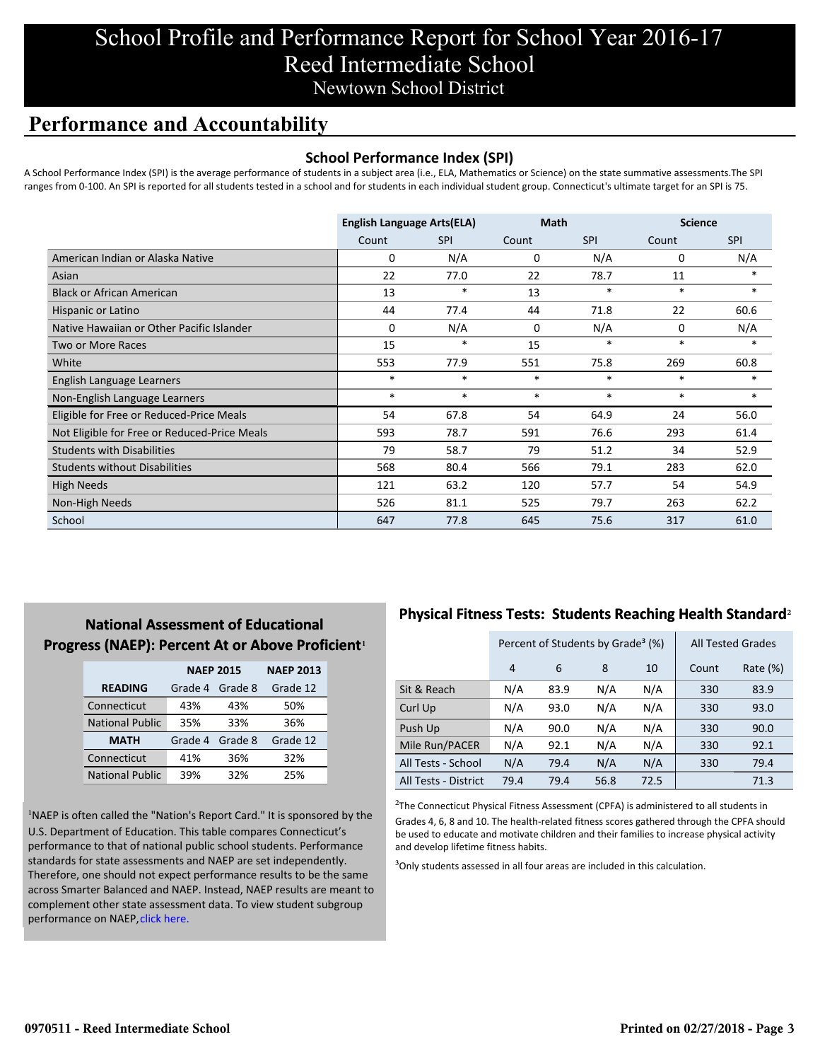## School Profile and Performance Report for School Year 2016-17 Reed Intermediate School Newtown School District

### **Performance and Accountability**

#### **School Performance Index (SPI)**

A School Performance Index (SPI) is the average performance of students in a subject area (i.e., ELA, Mathematics or Science) on the state summative assessments.The SPI ranges from 0-100. An SPI is reported for all students tested in a school and for students in each individual student group. Connecticut's ultimate target for an SPI is 75.

|                                              | <b>English Language Arts(ELA)</b> |            | <b>Math</b> |            | <b>Science</b> |            |
|----------------------------------------------|-----------------------------------|------------|-------------|------------|----------------|------------|
|                                              | Count                             | <b>SPI</b> | Count       | <b>SPI</b> | Count          | <b>SPI</b> |
| American Indian or Alaska Native             | 0                                 | N/A        | 0           | N/A        | 0              | N/A        |
| Asian                                        | 22                                | 77.0       | 22          | 78.7       | 11             | $\ast$     |
| <b>Black or African American</b>             | 13                                | $\ast$     | 13          | $\ast$     | $\ast$         | $\ast$     |
| Hispanic or Latino                           | 44                                | 77.4       | 44          | 71.8       | 22             | 60.6       |
| Native Hawaiian or Other Pacific Islander    | 0                                 | N/A        | $\mathbf 0$ | N/A        | 0              | N/A        |
| <b>Two or More Races</b>                     | 15                                | $\ast$     | 15          | $\ast$     | $\ast$         | $\ast$     |
| White                                        | 553                               | 77.9       | 551         | 75.8       | 269            | 60.8       |
| English Language Learners                    | $\ast$                            | $\ast$     | $\ast$      | $\ast$     | $\ast$         | $\ast$     |
| Non-English Language Learners                | $\ast$                            | $\ast$     | $\ast$      | $\ast$     | $\ast$         | $\ast$     |
| Eligible for Free or Reduced-Price Meals     | 54                                | 67.8       | 54          | 64.9       | 24             | 56.0       |
| Not Eligible for Free or Reduced-Price Meals | 593                               | 78.7       | 591         | 76.6       | 293            | 61.4       |
| <b>Students with Disabilities</b>            | 79                                | 58.7       | 79          | 51.2       | 34             | 52.9       |
| <b>Students without Disabilities</b>         | 568                               | 80.4       | 566         | 79.1       | 283            | 62.0       |
| <b>High Needs</b>                            | 121                               | 63.2       | 120         | 57.7       | 54             | 54.9       |
| Non-High Needs                               | 526                               | 81.1       | 525         | 79.7       | 263            | 62.2       |
| School                                       | 647                               | 77.8       | 645         | 75.6       | 317            | 61.0       |

### **National Assessment of Educational Progress (NAEP): Percent At or Above Proficient1**

|                        | <b>NAEP 2015</b> |         | <b>NAEP 2013</b> |  |
|------------------------|------------------|---------|------------------|--|
| <b>READING</b>         | Grade 4          | Grade 8 | Grade 12         |  |
| Connecticut            | 43%              | 43%     | 50%              |  |
| <b>National Public</b> | 35%              | 33%     | 36%              |  |
| <b>MATH</b>            | Grade 4          | Grade 8 | Grade 12         |  |
| Connecticut            | 41%              | 36%     | 32%              |  |
| <b>National Public</b> | 39%              | 32%     | 25%              |  |

<sup>1</sup>NAEP is often called the "Nation's Report Card." It is sponsored by the U.S. Department of Education. This table compares Connecticut's performance to that of national public school students. Performance standards for state assessments and NAEP are set independently. Therefore, one should not expect performance results to be the same [across Smarter Balanced and NAEP. Instead, NAEP results are meant to](http://portal.ct.gov/-/media/SDE/Student-Assessment/NAEP/ct_naep_2015_results_by_performance_level.pdf?la=en) complement other state assessment data. To view student subgroup performance on NAEP, click here.

### **Physical Fitness Tests: Students Reaching Health Standard**²

|                      |      | Percent of Students by Grade <sup>3</sup> (%) | <b>All Tested Grades</b> |      |       |          |
|----------------------|------|-----------------------------------------------|--------------------------|------|-------|----------|
|                      | 4    | 6                                             | 8                        | 10   | Count | Rate (%) |
| Sit & Reach          | N/A  | 83.9                                          | N/A                      | N/A  | 330   | 83.9     |
| Curl Up              | N/A  | 93.0                                          | N/A                      | N/A  | 330   | 93.0     |
| Push Up              | N/A  | 90.0                                          | N/A                      | N/A  | 330   | 90.0     |
| Mile Run/PACER       | N/A  | 92.1                                          | N/A                      | N/A  | 330   | 92.1     |
| All Tests - School   | N/A  | 79.4                                          | N/A                      | N/A  | 330   | 79.4     |
| All Tests - District | 79.4 | 79.4                                          | 56.8                     | 72.5 |       | 71.3     |

 $2$ The Connecticut Physical Fitness Assessment (CPFA) is administered to all students in Grades 4, 6, 8 and 10. The health-related fitness scores gathered through the CPFA should be used to educate and motivate children and their families to increase physical activity and develop lifetime fitness habits.

<sup>3</sup>Only students assessed in all four areas are included in this calculation.